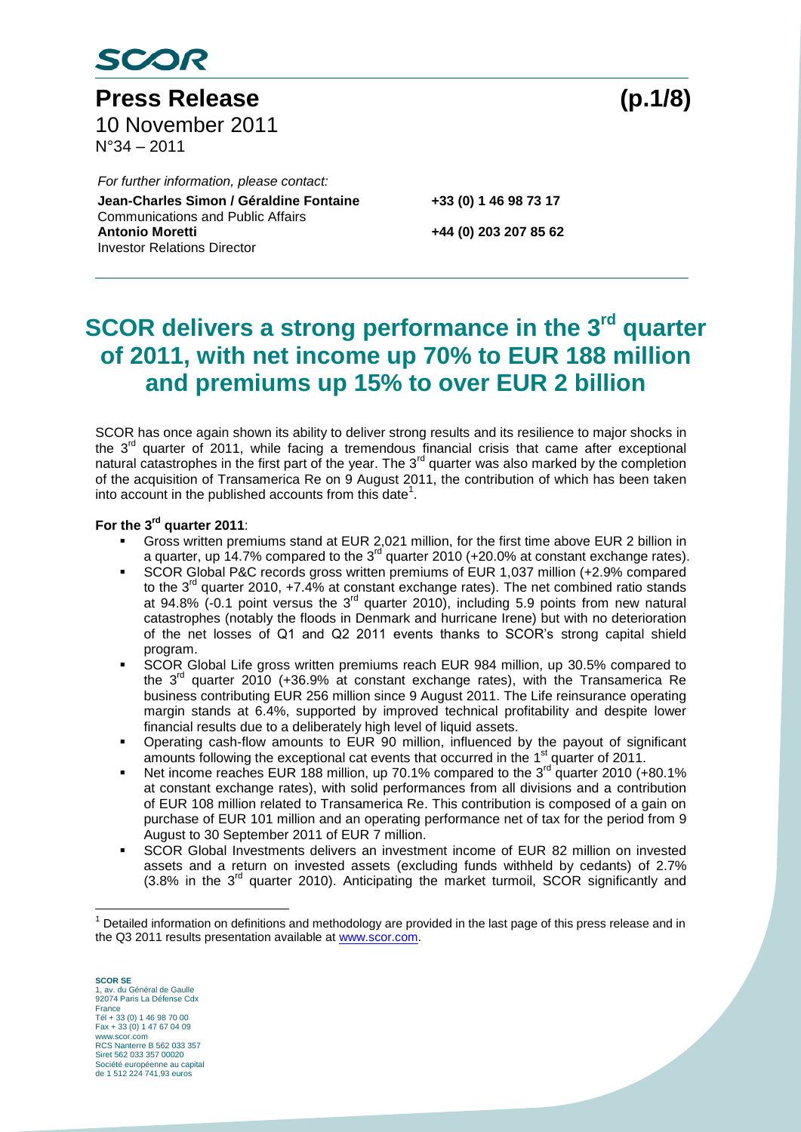

**Press Release (p.1/8)** 10 November 2011 N°34 – 2011

Communications and Public Affairs *For further information, please contact:* **Jean-Charles Simon / Géraldine Fontaine +33 (0) 1 46 98 73 17 Antonio Moretti +44 (0) 203 207 85 62** Investor Relations Director

## **SCOR delivers a strong performance in the 3<sup>rd</sup> quarter of 2011, with net income up 70% to EUR 188 million and premiums up 15% to over EUR 2 billion**

SCOR has once again shown its ability to deliver strong results and its resilience to major shocks in the  $3<sup>rd</sup>$  quarter of 2011, while facing a tremendous financial crisis that came after exceptional natural catastrophes in the first part of the year. The 3<sup>rd</sup> quarter was also marked by the completion of the acquisition of Transamerica Re on 9 August 2011, the contribution of which has been taken into account in the published accounts from this date<sup>1</sup>.

### **For the 3 rd quarter 2011**:

- Gross written premiums stand at EUR 2,021 million, for the first time above EUR 2 billion in a quarter, up 14.7% compared to the 3<sup>rd</sup> quarter 2010 (+20.0% at constant exchange rates).
- SCOR Global P&C records gross written premiums of EUR 1,037 million (+2.9% compared to the  $3^{rd}$  quarter 2010,  $+7.4\%$  at constant exchange rates). The net combined ratio stands at 94.8% (-0.1 point versus the  $3<sup>rd</sup>$  quarter 2010), including 5.9 points from new natural catastrophes (notably the floods in Denmark and hurricane Irene) but with no deterioration of the net losses of Q1 and Q2 2011 events thanks to SCOR's strong capital shield program.
- SCOR Global Life gross written premiums reach EUR 984 million, up 30.5% compared to the  $3<sup>rd</sup>$  quarter 2010 (+36.9% at constant exchange rates), with the Transamerica Re business contributing EUR 256 million since 9 August 2011. The Life reinsurance operating margin stands at 6.4%, supported by improved technical profitability and despite lower financial results due to a deliberately high level of liquid assets.
- Operating cash-flow amounts to EUR 90 million, influenced by the payout of significant amounts following the exceptional cat events that occurred in the 1<sup>st</sup> quarter of 2011.
- Net income reaches EUR 188 million, up 70.1% compared to the  $3<sup>rd</sup>$  quarter 2010 (+80.1%) at constant exchange rates), with solid performances from all divisions and a contribution of EUR 108 million related to Transamerica Re. This contribution is composed of a gain on purchase of EUR 101 million and an operating performance net of tax for the period from 9 August to 30 September 2011 of EUR 7 million.
- SCOR Global Investments delivers an investment income of EUR 82 million on invested assets and a return on invested assets (excluding funds withheld by cedants) of 2.7%  $(3.8\%$  in the  $3<sup>rd</sup>$  quarter 2010). Anticipating the market turmoil, SCOR significantly and

**SCOR SE** 1, av. du Général de Gaulle 92074 Paris La Défense Cdx France Tél + 33 (0) 1 46 98 70 00 Fax + 33 (0) 1 47 67 04 09 www.scor.com RCS Nanterre B 562 033 357 Siret 562 033 357 00020 Société européenne au capital de 1 512 224 741,93 euros

 $\overline{a}$ 

 $1$  Detailed information on definitions and methodology are provided in the last page of this press release and in the Q3 2011 results presentation available at [www.scor.com.](http://www.scor.com/)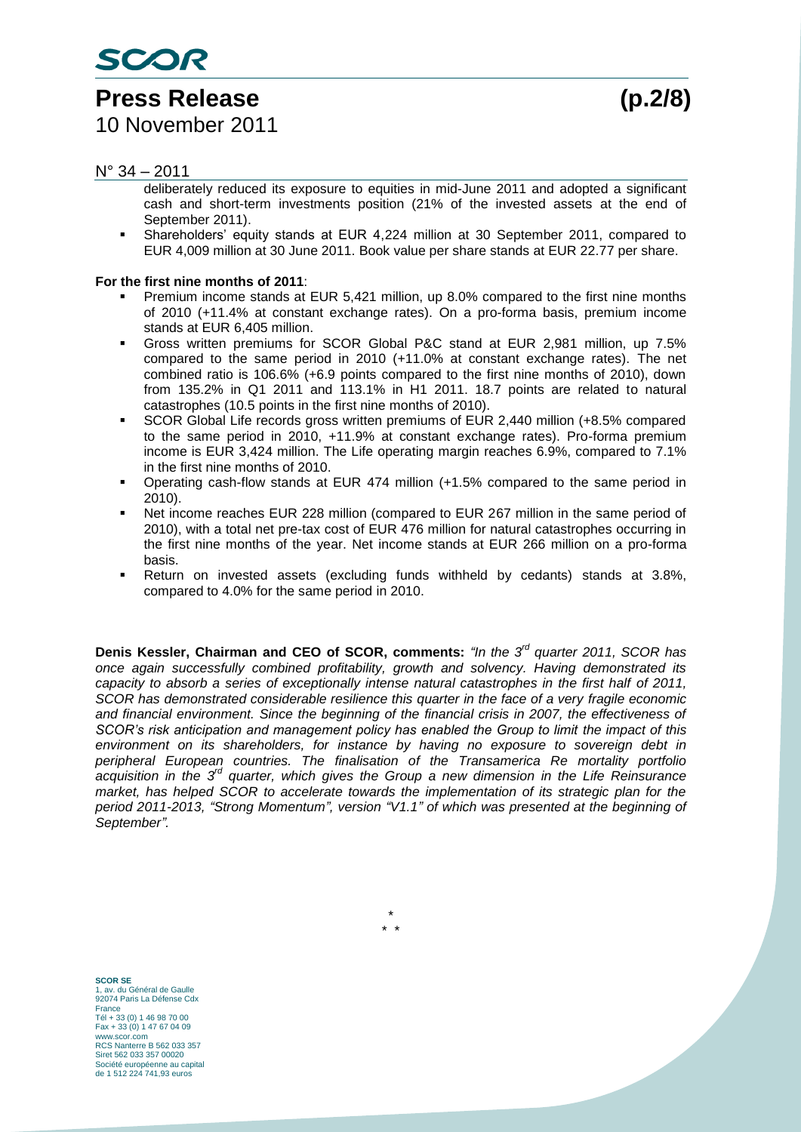SCOR

#### $N^{\circ}$  34 – 2011

deliberately reduced its exposure to equities in mid-June 2011 and adopted a significant cash and short-term investments position (21% of the invested assets at the end of September 2011).

 Shareholders' equity stands at EUR 4,224 million at 30 September 2011, compared to EUR 4,009 million at 30 June 2011. Book value per share stands at EUR 22.77 per share.

#### **For the first nine months of 2011**:

- Premium income stands at EUR 5,421 million, up 8.0% compared to the first nine months of 2010 (+11.4% at constant exchange rates). On a pro-forma basis, premium income stands at EUR 6,405 million.
- Gross written premiums for SCOR Global P&C stand at EUR 2,981 million, up 7.5% compared to the same period in 2010 (+11.0% at constant exchange rates). The net combined ratio is 106.6% (+6.9 points compared to the first nine months of 2010), down from 135.2% in Q1 2011 and 113.1% in H1 2011. 18.7 points are related to natural catastrophes (10.5 points in the first nine months of 2010).
- SCOR Global Life records gross written premiums of EUR 2,440 million (+8.5% compared to the same period in 2010, +11.9% at constant exchange rates). Pro-forma premium income is EUR 3,424 million. The Life operating margin reaches 6.9%, compared to 7.1% in the first nine months of 2010.
- Operating cash-flow stands at EUR 474 million (+1.5% compared to the same period in 2010).
- Net income reaches EUR 228 million (compared to EUR 267 million in the same period of 2010), with a total net pre-tax cost of EUR 476 million for natural catastrophes occurring in the first nine months of the year. Net income stands at EUR 266 million on a pro-forma basis.
- Return on invested assets (excluding funds withheld by cedants) stands at 3.8%, compared to 4.0% for the same period in 2010.

**Denis Kessler, Chairman and CEO of SCOR, comments:** "In the 3<sup>rd</sup> quarter 2011, SCOR has *once again successfully combined profitability, growth and solvency. Having demonstrated its capacity to absorb a series of exceptionally intense natural catastrophes in the first half of 2011, SCOR has demonstrated considerable resilience this quarter in the face of a very fragile economic and financial environment. Since the beginning of the financial crisis in 2007, the effectiveness of SCOR's risk anticipation and management policy has enabled the Group to limit the impact of this environment on its shareholders, for instance by having no exposure to sovereign debt in peripheral European countries. The finalisation of the Transamerica Re mortality portfolio acquisition in the 3 rd quarter, which gives the Group a new dimension in the Life Reinsurance market, has helped SCOR to accelerate towards the implementation of its strategic plan for the period 2011-2013, "Strong Momentum", version "V1.1" of which was presented at the beginning of September".*

> \* \* \*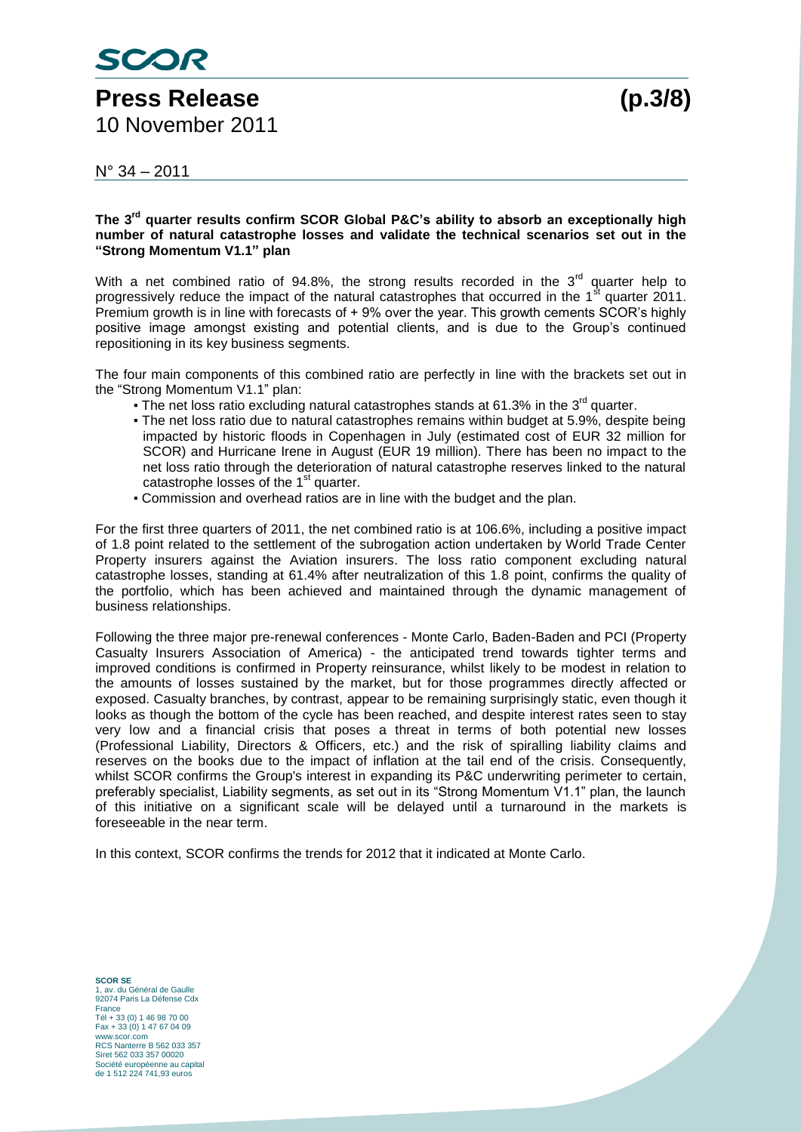## **Press Release (p.3/8)** 10 November 2011

 $N^{\circ}$  34 – 2011

#### **The 3rd quarter results confirm SCOR Global P&C's ability to absorb an exceptionally high number of natural catastrophe losses and validate the technical scenarios set out in the "Strong Momentum V1.1" plan**

With a net combined ratio of 94.8%, the strong results recorded in the  $3<sup>rd</sup>$  quarter help to progressively reduce the impact of the natural catastrophes that occurred in the 1<sup>st</sup> quarter 2011. Premium growth is in line with forecasts of + 9% over the year. This growth cements SCOR's highly positive image amongst existing and potential clients, and is due to the Group's continued repositioning in its key business segments.

The four main components of this combined ratio are perfectly in line with the brackets set out in the "Strong Momentum V1.1" plan:

- The net loss ratio excluding natural catastrophes stands at 61.3% in the 3 $^{\text{rd}}$  quarter.
- The net loss ratio due to natural catastrophes remains within budget at 5.9%, despite being impacted by historic floods in Copenhagen in July (estimated cost of EUR 32 million for SCOR) and Hurricane Irene in August (EUR 19 million). There has been no impact to the net loss ratio through the deterioration of natural catastrophe reserves linked to the natural catastrophe losses of the  $1<sup>st</sup>$  quarter.
- Commission and overhead ratios are in line with the budget and the plan.

For the first three quarters of 2011, the net combined ratio is at 106.6%, including a positive impact of 1.8 point related to the settlement of the subrogation action undertaken by World Trade Center Property insurers against the Aviation insurers. The loss ratio component excluding natural catastrophe losses, standing at 61.4% after neutralization of this 1.8 point, confirms the quality of the portfolio, which has been achieved and maintained through the dynamic management of business relationships.

Following the three major pre-renewal conferences - Monte Carlo, Baden-Baden and PCI (Property Casualty Insurers Association of America) - the anticipated trend towards tighter terms and improved conditions is confirmed in Property reinsurance, whilst likely to be modest in relation to the amounts of losses sustained by the market, but for those programmes directly affected or exposed. Casualty branches, by contrast, appear to be remaining surprisingly static, even though it looks as though the bottom of the cycle has been reached, and despite interest rates seen to stay very low and a financial crisis that poses a threat in terms of both potential new losses (Professional Liability, Directors & Officers, etc.) and the risk of spiralling liability claims and reserves on the books due to the impact of inflation at the tail end of the crisis. Consequently, whilst SCOR confirms the Group's interest in expanding its P&C underwriting perimeter to certain, preferably specialist, Liability segments, as set out in its "Strong Momentum V1.1" plan, the launch of this initiative on a significant scale will be delayed until a turnaround in the markets is foreseeable in the near term.

In this context, SCOR confirms the trends for 2012 that it indicated at Monte Carlo.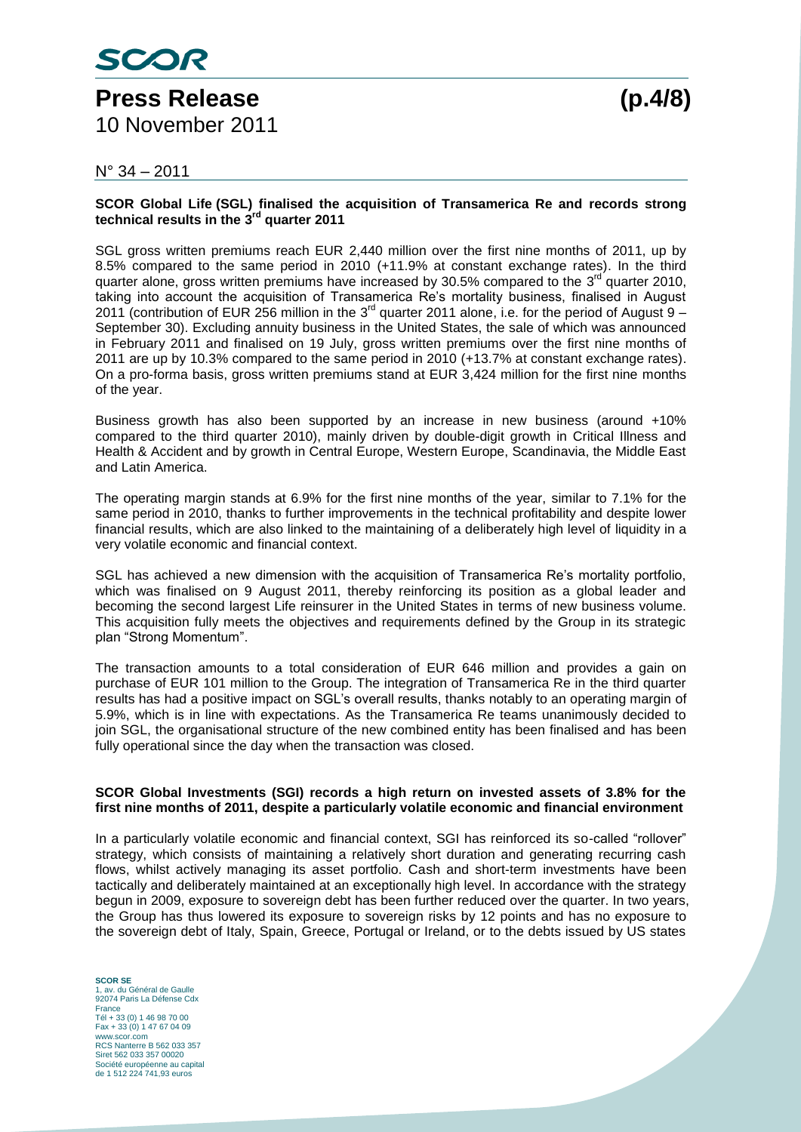#### $N^{\circ}$  34 – 2011

#### **SCOR Global Life (SGL) finalised the acquisition of Transamerica Re and records strong technical results in the 3 rd quarter 2011**

SGL gross written premiums reach EUR 2,440 million over the first nine months of 2011, up by 8.5% compared to the same period in 2010 (+11.9% at constant exchange rates). In the third quarter alone, gross written premiums have increased by 30.5% compared to the  $3<sup>rd</sup>$  quarter 2010, taking into account the acquisition of Transamerica Re's mortality business, finalised in August 2011 (contribution of EUR 256 million in the 3<sup>rd</sup> quarter 2011 alone, i.e. for the period of August 9 -September 30). Excluding annuity business in the United States, the sale of which was announced in February 2011 and finalised on 19 July, gross written premiums over the first nine months of 2011 are up by 10.3% compared to the same period in 2010 (+13.7% at constant exchange rates). On a pro-forma basis, gross written premiums stand at EUR 3,424 million for the first nine months of the year.

Business growth has also been supported by an increase in new business (around +10% compared to the third quarter 2010), mainly driven by double-digit growth in Critical Illness and Health & Accident and by growth in Central Europe, Western Europe, Scandinavia, the Middle East and Latin America.

The operating margin stands at 6.9% for the first nine months of the year, similar to 7.1% for the same period in 2010, thanks to further improvements in the technical profitability and despite lower financial results, which are also linked to the maintaining of a deliberately high level of liquidity in a very volatile economic and financial context.

SGL has achieved a new dimension with the acquisition of Transamerica Re's mortality portfolio, which was finalised on 9 August 2011, thereby reinforcing its position as a global leader and becoming the second largest Life reinsurer in the United States in terms of new business volume. This acquisition fully meets the objectives and requirements defined by the Group in its strategic plan "Strong Momentum".

The transaction amounts to a total consideration of EUR 646 million and provides a gain on purchase of EUR 101 million to the Group. The integration of Transamerica Re in the third quarter results has had a positive impact on SGL's overall results, thanks notably to an operating margin of 5.9%, which is in line with expectations. As the Transamerica Re teams unanimously decided to join SGL, the organisational structure of the new combined entity has been finalised and has been fully operational since the day when the transaction was closed.

#### **SCOR Global Investments (SGI) records a high return on invested assets of 3.8% for the first nine months of 2011, despite a particularly volatile economic and financial environment**

In a particularly volatile economic and financial context, SGI has reinforced its so-called "rollover" strategy, which consists of maintaining a relatively short duration and generating recurring cash flows, whilst actively managing its asset portfolio. Cash and short-term investments have been tactically and deliberately maintained at an exceptionally high level. In accordance with the strategy begun in 2009, exposure to sovereign debt has been further reduced over the quarter. In two years, the Group has thus lowered its exposure to sovereign risks by 12 points and has no exposure to the sovereign debt of Italy, Spain, Greece, Portugal or Ireland, or to the debts issued by US states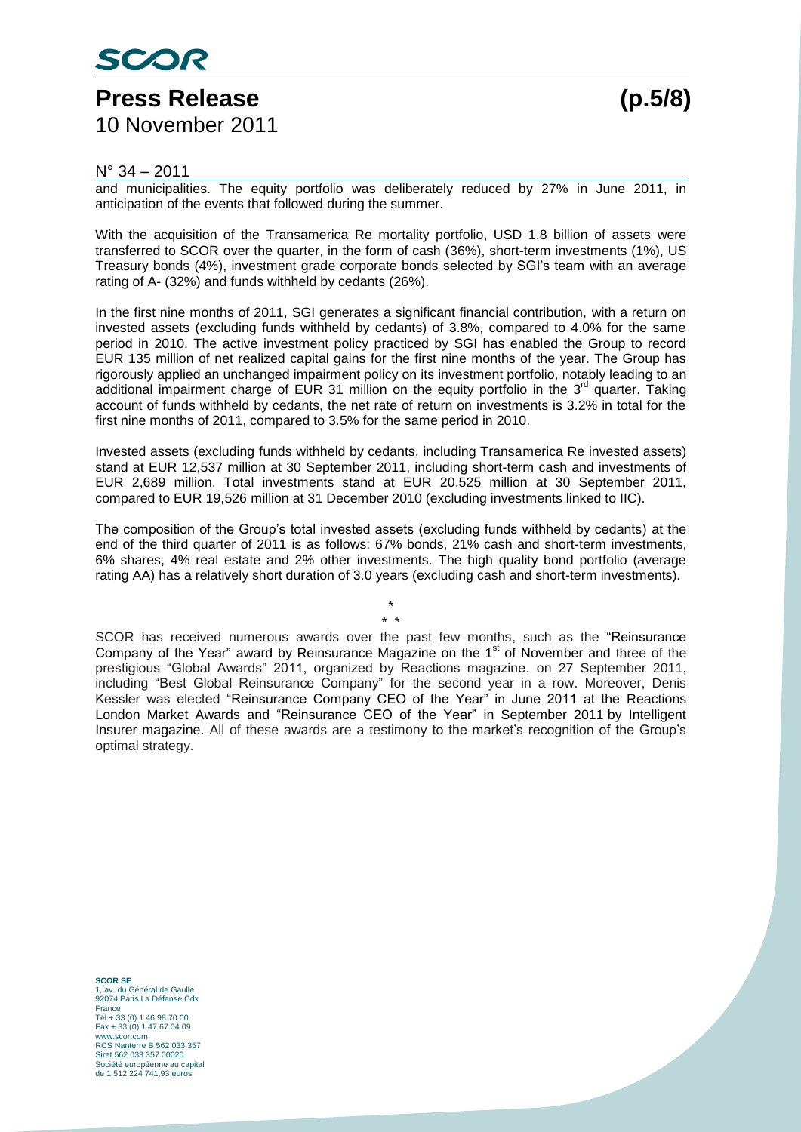## SCOR **Press Release (p.5/8)** 10 November 2011

#### $N^{\circ}$  34 – 2011

and municipalities. The equity portfolio was deliberately reduced by 27% in June 2011, in anticipation of the events that followed during the summer.

With the acquisition of the Transamerica Re mortality portfolio, USD 1.8 billion of assets were transferred to SCOR over the quarter, in the form of cash (36%), short-term investments (1%), US Treasury bonds (4%), investment grade corporate bonds selected by SGI's team with an average rating of A- (32%) and funds withheld by cedants (26%).

In the first nine months of 2011, SGI generates a significant financial contribution, with a return on invested assets (excluding funds withheld by cedants) of 3.8%, compared to 4.0% for the same period in 2010. The active investment policy practiced by SGI has enabled the Group to record EUR 135 million of net realized capital gains for the first nine months of the year. The Group has rigorously applied an unchanged impairment policy on its investment portfolio, notably leading to an additional impairment charge of EUR 31 million on the equity portfolio in the 3<sup>rd</sup> quarter. Taking account of funds withheld by cedants, the net rate of return on investments is 3.2% in total for the first nine months of 2011, compared to 3.5% for the same period in 2010.

Invested assets (excluding funds withheld by cedants, including Transamerica Re invested assets) stand at EUR 12,537 million at 30 September 2011, including short-term cash and investments of EUR 2,689 million. Total investments stand at EUR 20,525 million at 30 September 2011, compared to EUR 19,526 million at 31 December 2010 (excluding investments linked to IIC).

The composition of the Group's total invested assets (excluding funds withheld by cedants) at the end of the third quarter of 2011 is as follows: 67% bonds, 21% cash and short-term investments, 6% shares, 4% real estate and 2% other investments. The high quality bond portfolio (average rating AA) has a relatively short duration of 3.0 years (excluding cash and short-term investments).

> \* \* \*

SCOR has received numerous awards over the past few months, such as the "Reinsurance Company of the Year" award by Reinsurance Magazine on the  $1<sup>st</sup>$  of November and three of the prestigious "Global Awards" 2011, organized by Reactions magazine, on 27 September 2011, including "Best Global Reinsurance Company" for the second year in a row. Moreover, Denis Kessler was elected "Reinsurance Company CEO of the Year" in June 2011 at the Reactions London Market Awards and "Reinsurance CEO of the Year" in September 2011 by Intelligent Insurer magazine. All of these awards are a testimony to the market's recognition of the Group's optimal strategy.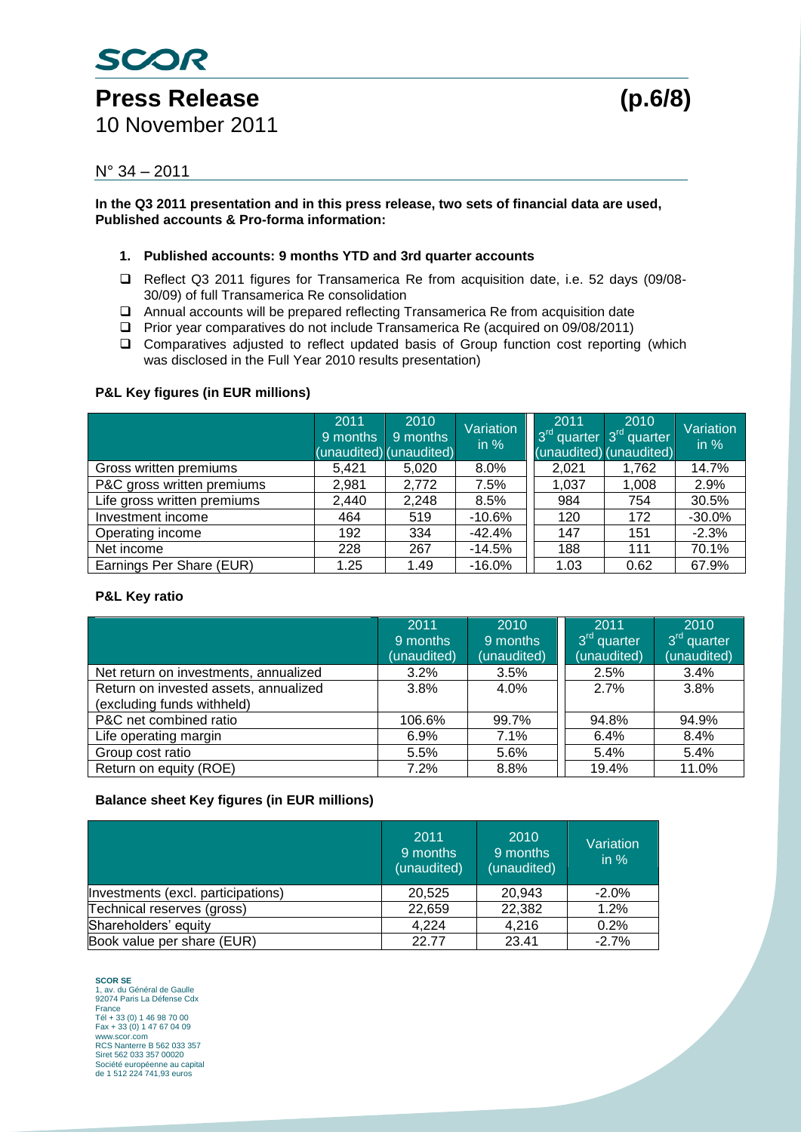# Press Release (p.6/8)

SCOR

10 November 2011

#### N° 34 – 2011

**In the Q3 2011 presentation and in this press release, two sets of financial data are used, Published accounts & Pro-forma information:**

#### **1. Published accounts: 9 months YTD and 3rd quarter accounts**

- □ Reflect Q3 2011 figures for Transamerica Re from acquisition date, i.e. 52 days (09/08-30/09) of full Transamerica Re consolidation
- Annual accounts will be prepared reflecting Transamerica Re from acquisition date
- Prior year comparatives do not include Transamerica Re (acquired on 09/08/2011)
- Comparatives adjusted to reflect updated basis of Group function cost reporting (which was disclosed in the Full Year 2010 results presentation)

#### **P&L Key figures (in EUR millions)**

|                             | 2011<br>9 months | 2010<br>9 months<br>(unaudited) (unaudited) | Variation<br>in $%$ | 2011<br>3 <sup>rd</sup> quarter<br>(unaudited) (unaudited) | 2010<br>3 <sup>rd</sup> quarter | Variation<br>in $%$ |
|-----------------------------|------------------|---------------------------------------------|---------------------|------------------------------------------------------------|---------------------------------|---------------------|
| Gross written premiums      | 5,421            | 5,020                                       | $8.0\%$             | 2,021                                                      | 1,762                           | 14.7%               |
| P&C gross written premiums  | 2,981            | 2,772                                       | 7.5%                | 1.037                                                      | 1,008                           | 2.9%                |
| Life gross written premiums | 2.440            | 2,248                                       | 8.5%                | 984                                                        | 754                             | 30.5%               |
| Investment income           | 464              | 519                                         | $-10.6%$            | 120                                                        | 172                             | $-30.0%$            |
| Operating income            | 192              | 334                                         | $-42.4%$            | 147                                                        | 151                             | $-2.3%$             |
| Net income                  | 228              | 267                                         | $-14.5%$            | 188                                                        | 111                             | 70.1%               |
| Earnings Per Share (EUR)    | 1.25             | 1.49                                        | $-16.0%$            | 1.03                                                       | 0.62                            | 67.9%               |

#### **P&L Key ratio**

|                                       | 2011        | 2010        | 2011                    | 2010                    |
|---------------------------------------|-------------|-------------|-------------------------|-------------------------|
|                                       | 9 months    | 9 months    | 3 <sup>rd</sup> quarter | 3 <sup>rd</sup> quarter |
|                                       | (unaudited) | (unaudited) | (unaudited)             | (unaudited)             |
| Net return on investments, annualized | 3.2%        | 3.5%        | 2.5%                    | 3.4%                    |
| Return on invested assets, annualized | 3.8%        | 4.0%        | 2.7%                    | 3.8%                    |
| (excluding funds withheld)            |             |             |                         |                         |
| P&C net combined ratio                | 106.6%      | 99.7%       | 94.8%                   | 94.9%                   |
| Life operating margin                 | 6.9%        | 7.1%        | 6.4%                    | 8.4%                    |
| Group cost ratio                      | 5.5%        | 5.6%        | 5.4%                    | 5.4%                    |
| Return on equity (ROE)                | 7.2%        | 8.8%        | 19.4%                   | 11.0%                   |

#### **Balance sheet Key figures (in EUR millions)**

|                                    | 2011<br>9 months<br>(unaudited) | 2010<br>9 months<br>(unaudited) | Variation<br>$\overline{\mathsf{in} \mathcal{A}}$ |
|------------------------------------|---------------------------------|---------------------------------|---------------------------------------------------|
| Investments (excl. participations) | 20.525                          | 20.943                          | $-2.0%$                                           |
| Technical reserves (gross)         | 22,659                          | 22,382                          | 1.2%                                              |
| Shareholders' equity               | 4,224                           | 4,216                           | 0.2%                                              |
| Book value per share (EUR)         | 22.77                           | 23.41                           | $-2.7%$                                           |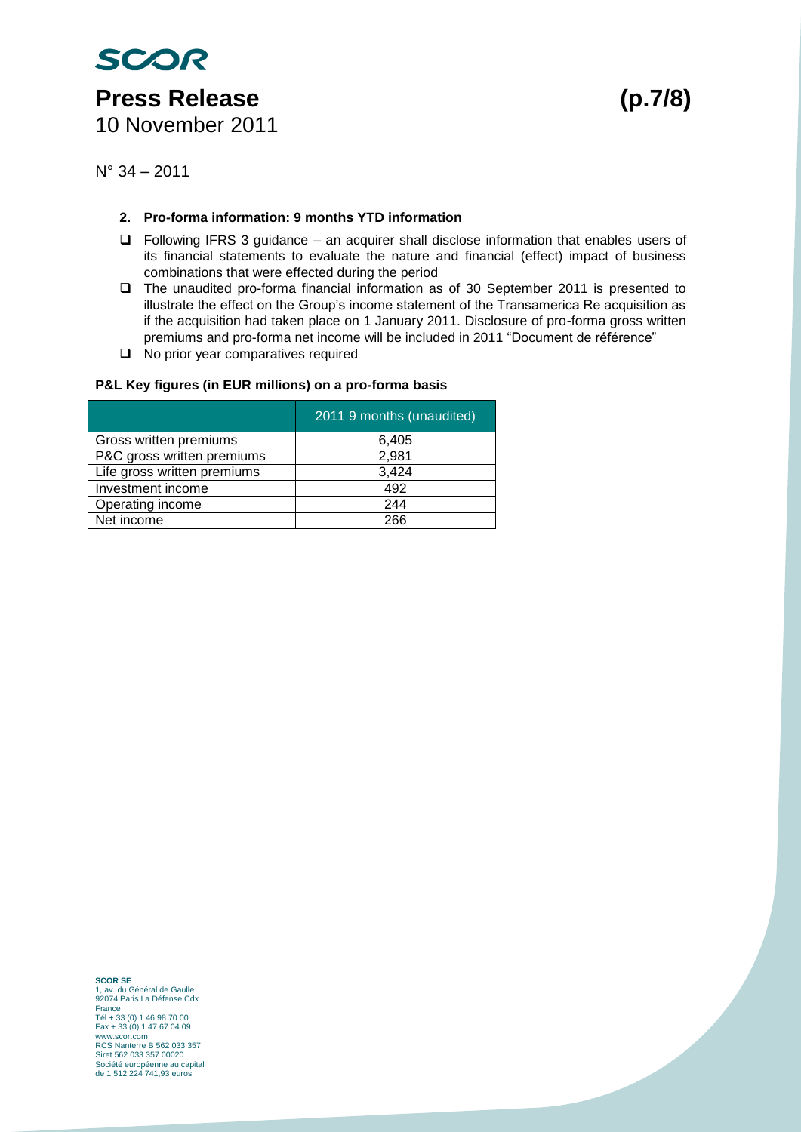

## Press Release (p.7/8)

10 November 2011

N° 34 – 2011

#### **2. Pro-forma information: 9 months YTD information**

- $\Box$  Following IFRS 3 guidance an acquirer shall disclose information that enables users of its financial statements to evaluate the nature and financial (effect) impact of business combinations that were effected during the period
- The unaudited pro-forma financial information as of 30 September 2011 is presented to illustrate the effect on the Group's income statement of the Transamerica Re acquisition as if the acquisition had taken place on 1 January 2011. Disclosure of pro-forma gross written premiums and pro-forma net income will be included in 2011 "Document de référence"
- □ No prior year comparatives required

#### **P&L Key figures (in EUR millions) on a pro-forma basis**

|                             | 2011 9 months (unaudited) |
|-----------------------------|---------------------------|
| Gross written premiums      | 6,405                     |
| P&C gross written premiums  | 2,981                     |
| Life gross written premiums | 3,424                     |
| Investment income           | 492                       |
| Operating income            | 244                       |
| Net income                  | 266                       |